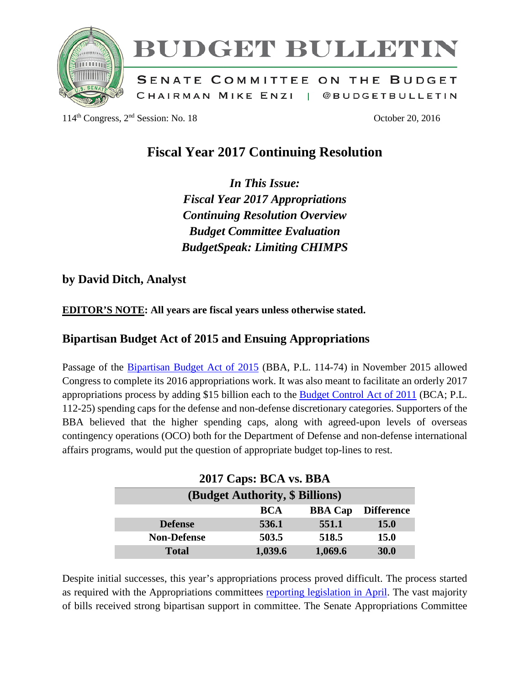

# BUDGET BULLETIN

SENATE COMMITTEE ON THE BUDGET CHAIRMAN MIKE ENZI | @BUDGETBULLETIN

114<sup>th</sup> Congress, 2<sup>nd</sup> Session: No. 18 October 20, 2016

## **Fiscal Year 2017 Continuing Resolution**

*In This Issue: Fiscal Year 2017 Appropriations Continuing Resolution Overview Budget Committee Evaluation BudgetSpeak: Limiting CHIMPS*

### **by David Ditch, Analyst**

**EDITOR'S NOTE: All years are fiscal years unless otherwise stated.**

## **Bipartisan Budget Act of 2015 and Ensuing Appropriations**

Passage of the [Bipartisan Budget Act of 2015](https://www.congress.gov/bill/114th-congress/house-bill/1314) (BBA, P.L. 114-74) in November 2015 allowed Congress to complete its 2016 appropriations work. It was also meant to facilitate an orderly 2017 appropriations process by adding \$15 billion each to the [Budget Control Act of 2011](https://www.congress.gov/bill/112th-congress/senate-bill/365/text) (BCA; P.L. 112-25) spending caps for the defense and non-defense discretionary categories. Supporters of the BBA believed that the higher spending caps, along with agreed-upon levels of overseas contingency operations (OCO) both for the Department of Defense and non-defense international affairs programs, would put the question of appropriate budget top-lines to rest.

| 2017 Caps: BCA vs. BBA          |            |                |                   |  |
|---------------------------------|------------|----------------|-------------------|--|
| (Budget Authority, \$ Billions) |            |                |                   |  |
|                                 | <b>BCA</b> | <b>BBA Cap</b> | <b>Difference</b> |  |
| <b>Defense</b>                  | 536.1      | 551.1          | <b>15.0</b>       |  |
| <b>Non-Defense</b>              | 503.5      | 518.5          | <b>15.0</b>       |  |
| <b>Total</b>                    | 1,039.6    | 1,069.6        | 30.0              |  |

Despite initial successes, this year's appropriations process proved difficult. The process started as required with the Appropriations committees [reporting legislation in April.](http://www.appropriations.senate.gov/news/majority/senate-appropriations-committee-approves-fy2017-milcon-va-bill-) The vast majority of bills received strong bipartisan support in committee. The Senate Appropriations Committee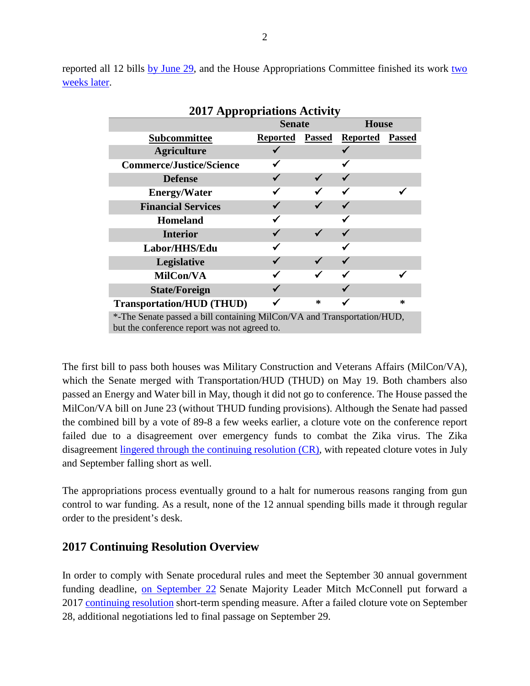reported all 12 bills [by June 29,](http://www.appropriations.senate.gov/news/majority/senate-committee-completes-work-on-fy2017-state-and-foreign-operations-appropriations-bill) and the House Appropriations Committee finished its work two [weeks later.](http://appropriations.house.gov/news/documentsingle.aspx?DocumentID=394649)

| <b>2017 Appropriations Activity</b>                                     |                 |               |                 |               |
|-------------------------------------------------------------------------|-----------------|---------------|-----------------|---------------|
|                                                                         | <b>Senate</b>   |               | <b>House</b>    |               |
| <b>Subcommittee</b>                                                     | <b>Reported</b> | <b>Passed</b> | <b>Reported</b> | <b>Passed</b> |
| <b>Agriculture</b>                                                      |                 |               |                 |               |
| <b>Commerce/Justice/Science</b>                                         |                 |               |                 |               |
| <b>Defense</b>                                                          |                 |               |                 |               |
| <b>Energy/Water</b>                                                     |                 |               |                 |               |
| <b>Financial Services</b>                                               |                 |               |                 |               |
| <b>Homeland</b>                                                         |                 |               |                 |               |
| <b>Interior</b>                                                         |                 |               |                 |               |
| Labor/HHS/Edu                                                           |                 |               |                 |               |
| Legislative                                                             |                 |               |                 |               |
| MilCon/VA                                                               |                 |               |                 |               |
| <b>State/Foreign</b>                                                    |                 |               |                 |               |
| <b>Transportation/HUD (THUD)</b>                                        |                 | ∗             |                 | ∗             |
| *-The Senate passed a bill containing MilCon/VA and Transportation/HUD, |                 |               |                 |               |
| but the conference report was not agreed to.                            |                 |               |                 |               |

The first bill to pass both houses was Military Construction and Veterans Affairs (MilCon/VA), which the Senate merged with Transportation/HUD (THUD) on May 19. Both chambers also passed an Energy and Water bill in May, though it did not go to conference. The House passed the MilCon/VA bill on June 23 (without THUD funding provisions). Although the Senate had passed the combined bill by a vote of 89-8 a few weeks earlier, a cloture vote on the conference report failed due to a disagreement over emergency funds to combat the Zika virus. The Zika disagreement [lingered through the continuing](http://www.cq.com/doc/4962369?11) resolution (CR), with repeated cloture votes in July and September falling short as well.

The appropriations process eventually ground to a halt for numerous reasons ranging from gun control to war funding. As a result, none of the 12 annual spending bills made it through regular order to the president's desk.

#### **2017 Continuing Resolution Overview**

In order to comply with Senate procedural rules and meet the September 30 annual government funding deadline, [on September 22](http://www.cq.com/doc/4962089?12&eapa) Senate Majority Leader Mitch McConnell put forward a 2017 [continuing resolution](https://www.congress.gov/amendment/114th-congress/senate-amendment/5082) short-term spending measure. After a failed cloture vote on September 28, additional negotiations led to final passage on September 29.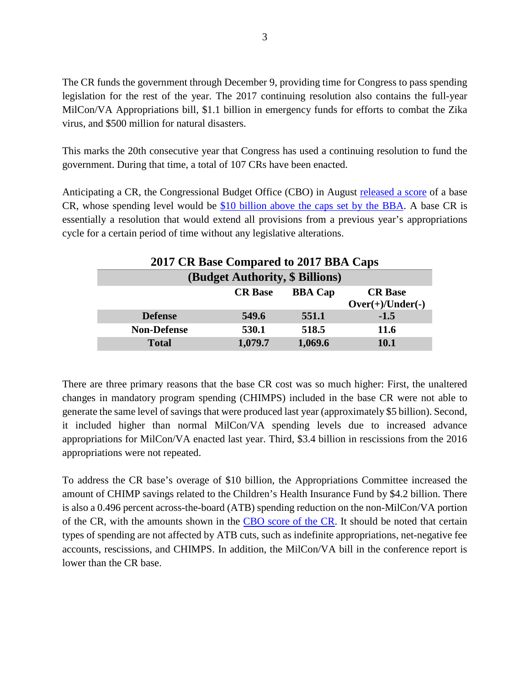The CR funds the government through December 9, providing time for Congress to pass spending legislation for the rest of the year. The 2017 continuing resolution also contains the full-year MilCon/VA Appropriations bill, \$1.1 billion in emergency funds for efforts to combat the Zika virus, and \$500 million for natural disasters.

This marks the 20th consecutive year that Congress has used a continuing resolution to fund the government. During that time, a total of 107 CRs have been enacted.

Anticipating a CR, the Congressional Budget Office (CBO) in August [released a score](http://jukebox.cq.com/www/graphics/govdoc/2016/09/08/govdoc20160908-176802.pdf) of a base CR, whose spending level would be [\\$10 billion above the caps set by the BBA.](http://www.cq.com/doc/news-4950126?9&srcpage=news&srcsec=cqn) A base CR is essentially a resolution that would extend all provisions from a previous year's appropriations cycle for a certain period of time without any legislative alterations.

| 2017 CR Base Compared to 2017 BBA Caps |                |                |                                      |
|----------------------------------------|----------------|----------------|--------------------------------------|
| (Budget Authority, \$ Billions)        |                |                |                                      |
|                                        | <b>CR</b> Base | <b>BBA Cap</b> | <b>CR</b> Base<br>$Over(+)/Under(-)$ |
| <b>Defense</b>                         | 549.6          | 551.1          | $-1.5$                               |
| <b>Non-Defense</b>                     | 530.1          | 518.5          | 11.6                                 |
| <b>Total</b>                           | 1,079.7        | 1,069.6        | <b>10.1</b>                          |

There are three primary reasons that the base CR cost was so much higher: First, the unaltered changes in mandatory program spending (CHIMPS) included in the base CR were not able to generate the same level of savings that were produced last year (approximately \$5 billion). Second, it included higher than normal MilCon/VA spending levels due to increased advance appropriations for MilCon/VA enacted last year. Third, \$3.4 billion in rescissions from the 2016 appropriations were not repeated.

To address the CR base's overage of \$10 billion, the Appropriations Committee increased the amount of CHIMP savings related to the Children's Health Insurance Fund by \$4.2 billion. There is also a 0.496 percent across-the-board (ATB) spending reduction on the non-MilCon/VA portion of the CR, with the amounts shown in the [CBO score of the CR.](https://www.cbo.gov/sites/default/files/114th-congress-2015-2016/costestimate/sa5082_0.pdf) It should be noted that certain types of spending are not affected by ATB cuts, such as indefinite appropriations, net-negative fee accounts, rescissions, and CHIMPS. In addition, the MilCon/VA bill in the conference report is lower than the CR base.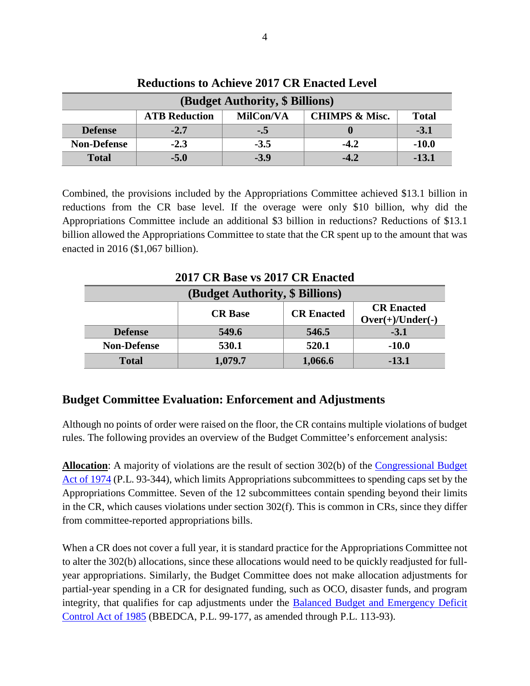| (Budget Authority, \$ Billions) |                      |           |                           |              |
|---------------------------------|----------------------|-----------|---------------------------|--------------|
|                                 | <b>ATB Reduction</b> | MilCon/VA | <b>CHIMPS &amp; Misc.</b> | <b>Total</b> |
| <b>Defense</b>                  | $-2.7$               | $-.5$     |                           | $-3.1$       |
| <b>Non-Defense</b>              | $-2.3$               | $-3.5$    | $-4.2$                    | $-10.0$      |
| <b>Total</b>                    | $-5.0$               | $-3.9$    | $-4.2$                    | -13.1        |

**Reductions to Achieve 2017 CR Enacted Level**

Combined, the provisions included by the Appropriations Committee achieved \$13.1 billion in reductions from the CR base level. If the overage were only \$10 billion, why did the Appropriations Committee include an additional \$3 billion in reductions? Reductions of \$13.1 billion allowed the Appropriations Committee to state that the CR spent up to the amount that was enacted in 2016 (\$1,067 billion).

**2017 CR Base vs 2017 CR Enacted (Budget Authority, \$ Billions) CR Base CR Enacted CR Enacted Over(+)/Under(-) Defense 549.6 546.5 -3.1**

**Non-Defense 530.1 520.1 -10.0**

**Total 1,079.7 1,066.6 -13.1**

# **Budget Committee Evaluation: Enforcement and Adjustments**

Although no points of order were raised on the floor, the CR contains multiple violations of budget rules. The following provides an overview of the Budget Committee's enforcement analysis:

**Allocation**: A majority of violations are the result of section 302(b) of the [Congressional Budget](http://www.gpo.gov/fdsys/pkg/STATUTE-88/pdf/STATUTE-88-Pg297.pdf)  [Act of 1974](http://www.gpo.gov/fdsys/pkg/STATUTE-88/pdf/STATUTE-88-Pg297.pdf) (P.L. 93-344), which limits Appropriations subcommittees to spending caps set by the Appropriations Committee. Seven of the 12 subcommittees contain spending beyond their limits in the CR, which causes violations under section 302(f). This is common in CRs, since they differ from committee-reported appropriations bills.

When a CR does not cover a full year, it is standard practice for the Appropriations Committee not to alter the 302(b) allocations, since these allocations would need to be quickly readjusted for fullyear appropriations. Similarly, the Budget Committee does not make allocation adjustments for partial-year spending in a CR for designated funding, such as OCO, disaster funds, and program integrity, that qualifies for cap adjustments under the [Balanced Budget and Emergency Deficit](http://legcounsel.house.gov/Comps/Balanced%20Budget%20And%20Emergency%20Deficit%20Control%20Act%20Of%201985--(Part%20C).pdf)  [Control Act of 1985](http://legcounsel.house.gov/Comps/Balanced%20Budget%20And%20Emergency%20Deficit%20Control%20Act%20Of%201985--(Part%20C).pdf) (BBEDCA, P.L. 99-177, as amended through P.L. 113-93).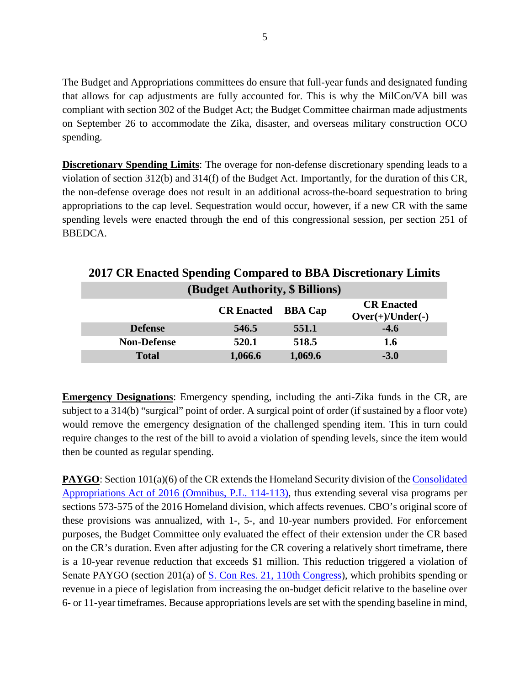The Budget and Appropriations committees do ensure that full-year funds and designated funding that allows for cap adjustments are fully accounted for. This is why the MilCon/VA bill was compliant with section 302 of the Budget Act; the Budget Committee chairman made adjustments on September 26 to accommodate the Zika, disaster, and overseas military construction OCO spending.

**Discretionary Spending Limits:** The overage for non-defense discretionary spending leads to a violation of section 312(b) and 314(f) of the Budget Act. Importantly, for the duration of this CR, the non-defense overage does not result in an additional across-the-board sequestration to bring appropriations to the cap level. Sequestration would occur, however, if a new CR with the same spending levels were enacted through the end of this congressional session, per section 251 of BBEDCA.

| (Budget Authority, \$ Billions) |                   |                |                                         |
|---------------------------------|-------------------|----------------|-----------------------------------------|
|                                 | <b>CR Enacted</b> | <b>BBA Cap</b> | <b>CR Enacted</b><br>$Over(+)/Under(-)$ |
| <b>Defense</b>                  | 546.5             | 551.1          | $-4.6$                                  |
| <b>Non-Defense</b>              | 520.1             | 518.5          | 1.6                                     |
| <b>Total</b>                    | 1,066.6           | 1,069.6        | $-3.0$                                  |

**2017 CR Enacted Spending Compared to BBA Discretionary Limits**

**Emergency Designations**: Emergency spending, including the anti-Zika funds in the CR, are subject to a 314(b) "surgical" point of order. A surgical point of order (if sustained by a floor vote) would remove the emergency designation of the challenged spending item. This in turn could require changes to the rest of the bill to avoid a violation of spending levels, since the item would then be counted as regular spending.

**PAYGO**: Section 101(a)(6) of the CR extends the Homeland Security division of the Consolidated [Appropriations Act of 2016 \(Omnibus, P.L. 114-113\),](https://www.congress.gov/114/plaws/publ113/PLAW-114publ113.pdf) thus extending several visa programs per sections 573-575 of the 2016 Homeland division, which affects revenues. CBO's original score of these provisions was annualized, with 1-, 5-, and 10-year numbers provided. For enforcement purposes, the Budget Committee only evaluated the effect of their extension under the CR based on the CR's duration. Even after adjusting for the CR covering a relatively short timeframe, there is a 10-year revenue reduction that exceeds \$1 million. This reduction triggered a violation of Senate PAYGO (section 201(a) of <u>S. Con Res. 21, 110th Congress</u>), which prohibits spending or revenue in a piece of legislation from increasing the on-budget deficit relative to the baseline over 6- or 11-year timeframes. Because appropriations levels are set with the spending baseline in mind,